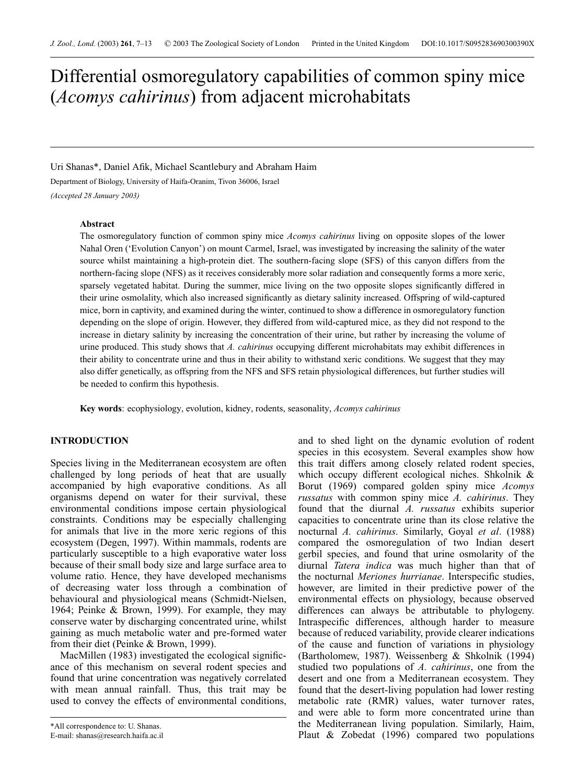# Differential osmoregulatory capabilities of common spiny mice (*Acomys cahirinus*) from adjacent microhabitats

Uri Shanas\*, Daniel Afik, Michael Scantlebury and Abraham Haim Department of Biology, University of Haifa-Oranim, Tivon 36006, Israel

*(Accepted 28 January 2003)*

#### **Abstract**

The osmoregulatory function of common spiny mice *Acomys cahirinus* living on opposite slopes of the lower Nahal Oren ('Evolution Canyon') on mount Carmel, Israel, was investigated by increasing the salinity of the water source whilst maintaining a high-protein diet. The southern-facing slope (SFS) of this canyon differs from the northern-facing slope (NFS) as it receives considerably more solar radiation and consequently forms a more xeric, sparsely vegetated habitat. During the summer, mice living on the two opposite slopes significantly differed in their urine osmolality, which also increased significantly as dietary salinity increased. Offspring of wild-captured mice, born in captivity, and examined during the winter, continued to show a difference in osmoregulatory function depending on the slope of origin. However, they differed from wild-captured mice, as they did not respond to the increase in dietary salinity by increasing the concentration of their urine, but rather by increasing the volume of urine produced. This study shows that *A. cahirinus* occupying different microhabitats may exhibit differences in their ability to concentrate urine and thus in their ability to withstand xeric conditions. We suggest that they may also differ genetically, as offspring from the NFS and SFS retain physiological differences, but further studies will be needed to confirm this hypothesis.

**Key words**: ecophysiology, evolution, kidney, rodents, seasonality, *Acomys cahirinus*

# **INTRODUCTION**

Species living in the Mediterranean ecosystem are often challenged by long periods of heat that are usually accompanied by high evaporative conditions. As all organisms depend on water for their survival, these environmental conditions impose certain physiological constraints. Conditions may be especially challenging for animals that live in the more xeric regions of this ecosystem (Degen, 1997). Within mammals, rodents are particularly susceptible to a high evaporative water loss because of their small body size and large surface area to volume ratio. Hence, they have developed mechanisms of decreasing water loss through a combination of behavioural and physiological means (Schmidt-Nielsen, 1964; Peinke & Brown, 1999). For example, they may conserve water by discharging concentrated urine, whilst gaining as much metabolic water and pre-formed water from their diet (Peinke & Brown, 1999).

MacMillen (1983) investigated the ecological significance of this mechanism on several rodent species and found that urine concentration was negatively correlated with mean annual rainfall. Thus, this trait may be used to convey the effects of environmental conditions, and to shed light on the dynamic evolution of rodent species in this ecosystem. Several examples show how this trait differs among closely related rodent species, which occupy different ecological niches. Shkolnik & Borut (1969) compared golden spiny mice *Acomys russatus* with common spiny mice *A. cahirinus*. They found that the diurnal *A. russatus* exhibits superior capacities to concentrate urine than its close relative the nocturnal *A. cahirinus*. Similarly, Goyal *et al*. (1988) compared the osmoregulation of two Indian desert gerbil species, and found that urine osmolarity of the diurnal *Tatera indica* was much higher than that of the nocturnal *Meriones hurrianae*. Interspecific studies, however, are limited in their predictive power of the environmental effects on physiology, because observed differences can always be attributable to phylogeny. Intraspecific differences, although harder to measure because of reduced variability, provide clearer indications of the cause and function of variations in physiology (Bartholomew, 1987). Weissenberg & Shkolnik (1994) studied two populations of *A. cahirinus*, one from the desert and one from a Mediterranean ecosystem. They found that the desert-living population had lower resting metabolic rate (RMR) values, water turnover rates, and were able to form more concentrated urine than the Mediterranean living population. Similarly, Haim, Plaut & Zobedat (1996) compared two populations

<sup>\*</sup>All correspondence to: U. Shanas.

E-mail: shanas@research.haifa.ac.il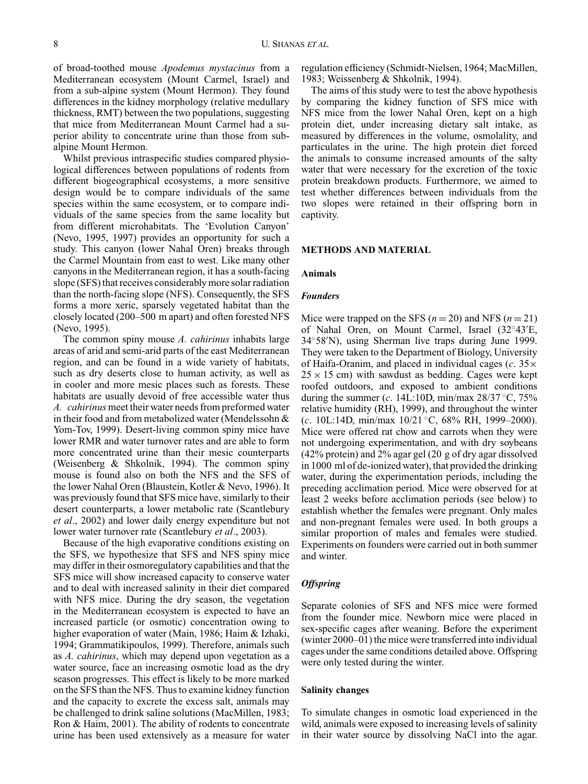of broad-toothed mouse *Apodemus mystacinus* from a Mediterranean ecosystem (Mount Carmel, Israel) and from a sub-alpine system (Mount Hermon). They found differences in the kidney morphology (relative medullary thickness, RMT) between the two populations, suggesting that mice from Mediterranean Mount Carmel had a superior ability to concentrate urine than those from subalpine Mount Hermon.

Whilst previous intraspecific studies compared physiological differences between populations of rodents from different biogeographical ecosystems, a more sensitive design would be to compare individuals of the same species within the same ecosystem, or to compare individuals of the same species from the same locality but from different microhabitats. The 'Evolution Canyon' (Nevo, 1995, 1997) provides an opportunity for such a study. This canyon (lower Nahal Oren) breaks through the Carmel Mountain from east to west. Like many other canyons in the Mediterranean region, it has a south-facing slope (SFS) that receives considerably more solar radiation than the north-facing slope (NFS). Consequently, the SFS forms a more xeric, sparsely vegetated habitat than the closely located (200–500 m apart) and often forested NFS (Nevo, 1995).

The common spiny mouse *A. cahirinus* inhabits large areas of arid and semi-arid parts of the east Mediterranean region, and can be found in a wide variety of habitats, such as dry deserts close to human activity, as well as in cooler and more mesic places such as forests. These habitats are usually devoid of free accessible water thus *A. cahirinus* meet their water needs from preformed water in their food and from metabolized water (Mendelssohn & Yom-Tov, 1999). Desert-living common spiny mice have lower RMR and water turnover rates and are able to form more concentrated urine than their mesic counterparts (Weisenberg & Shkolnik, 1994). The common spiny mouse is found also on both the NFS and the SFS of the lower Nahal Oren (Blaustein, Kotler & Nevo, 1996). It was previously found that SFS mice have, similarly to their desert counterparts, a lower metabolic rate (Scantlebury *et al*., 2002) and lower daily energy expenditure but not lower water turnover rate (Scantlebury *et al*., 2003).

Because of the high evaporative conditions existing on the SFS, we hypothesize that SFS and NFS spiny mice may differ in their osmoregulatory capabilities and that the SFS mice will show increased capacity to conserve water and to deal with increased salinity in their diet compared with NFS mice. During the dry season, the vegetation in the Mediterranean ecosystem is expected to have an increased particle (or osmotic) concentration owing to higher evaporation of water (Main, 1986; Haim & Izhaki, 1994; Grammatikipoulos, 1999). Therefore, animals such as *A. cahirinus*, which may depend upon vegetation as a water source, face an increasing osmotic load as the dry season progresses. This effect is likely to be more marked on the SFS than the NFS. Thus to examine kidney function and the capacity to excrete the excess salt, animals may be challenged to drink saline solutions (MacMillen, 1983; Ron & Haim, 2001). The ability of rodents to concentrate urine has been used extensively as a measure for water regulation efficiency (Schmidt-Nielsen, 1964; MacMillen, 1983; Weissenberg & Shkolnik, 1994).

The aims of this study were to test the above hypothesis by comparing the kidney function of SFS mice with NFS mice from the lower Nahal Oren, kept on a high protein diet, under increasing dietary salt intake, as measured by differences in the volume, osmolality, and particulates in the urine. The high protein diet forced the animals to consume increased amounts of the salty water that were necessary for the excretion of the toxic protein breakdown products. Furthermore, we aimed to test whether differences between individuals from the two slopes were retained in their offspring born in captivity.

## **METHODS AND MATERIAL**

#### **Animals**

## *Founders*

Mice were trapped on the SFS  $(n = 20)$  and NFS  $(n = 21)$ of Nahal Oren, on Mount Carmel, Israel (32◦43 E, 34◦58 N), using Sherman live traps during June 1999. They were taken to the Department of Biology, University of Haifa-Oranim, and placed in individual cages (*c*. 35×  $25 \times 15$  cm) with sawdust as bedding. Cages were kept roofed outdoors, and exposed to ambient conditions during the summer (*c*. 14L:10D, min/max  $28/37$  °C, 75% relative humidity (RH), 1999), and throughout the winter (*c*. 10L:14D, min/max 10/21 ◦C, 68% RH, 1999–2000). Mice were offered rat chow and carrots when they were not undergoing experimentation, and with dry soybeans (42% protein) and 2% agar gel (20 g of dry agar dissolved in 1000 ml of de-ionized water), that provided the drinking water, during the experimentation periods, including the preceding acclimation period. Mice were observed for at least 2 weeks before acclimation periods (see below) to establish whether the females were pregnant. Only males and non-pregnant females were used. In both groups a similar proportion of males and females were studied. Experiments on founders were carried out in both summer and winter.

# *Offspring*

Separate colonies of SFS and NFS mice were formed from the founder mice. Newborn mice were placed in sex-specific cages after weaning. Before the experiment (winter 2000–01) the mice were transferred into individual cages under the same conditions detailed above. Offspring were only tested during the winter.

#### **Salinity changes**

To simulate changes in osmotic load experienced in the wild, animals were exposed to increasing levels of salinity in their water source by dissolving NaCl into the agar.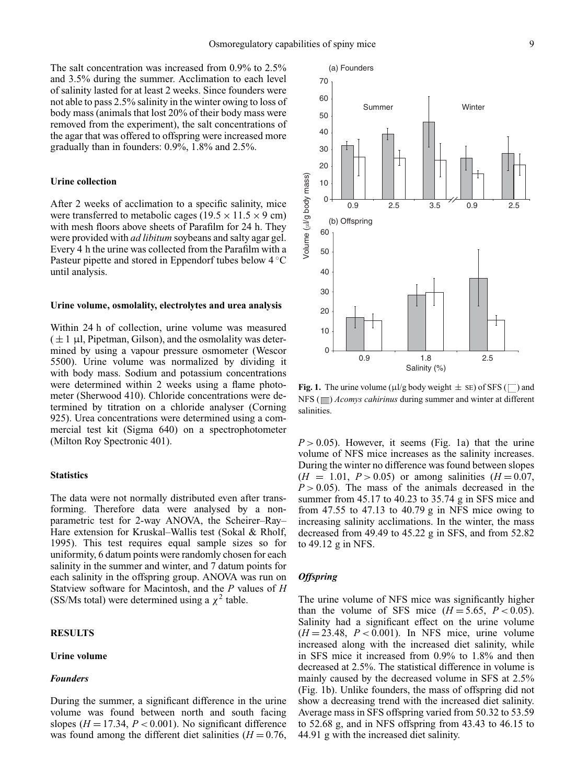The salt concentration was increased from 0.9% to 2.5% and 3.5% during the summer. Acclimation to each level of salinity lasted for at least 2 weeks. Since founders were not able to pass 2.5% salinity in the winter owing to loss of body mass (animals that lost 20% of their body mass were removed from the experiment), the salt concentrations of the agar that was offered to offspring were increased more gradually than in founders: 0.9%, 1.8% and 2.5%.

#### **Urine collection**

After 2 weeks of acclimation to a specific salinity, mice were transferred to metabolic cages ( $19.5 \times 11.5 \times 9$  cm) with mesh floors above sheets of Parafilm for 24 h. They were provided with *ad libitum* soybeans and salty agar gel. Every 4 h the urine was collected from the Parafilm with a Pasteur pipette and stored in Eppendorf tubes below 4 ◦C until analysis.

#### **Urine volume, osmolality, electrolytes and urea analysis**

Within 24 h of collection, urine volume was measured  $(\pm 1 \mu l, Pipetman, Gilson)$ , and the osmolality was determined by using a vapour pressure osmometer (Wescor 5500). Urine volume was normalized by dividing it with body mass. Sodium and potassium concentrations were determined within 2 weeks using a flame photometer (Sherwood 410). Chloride concentrations were determined by titration on a chloride analyser (Corning 925). Urea concentrations were determined using a commercial test kit (Sigma 640) on a spectrophotometer (Milton Roy Spectronic 401).

### **Statistics**

The data were not normally distributed even after transforming. Therefore data were analysed by a nonparametric test for 2-way ANOVA, the Scheirer–Ray– Hare extension for Kruskal–Wallis test (Sokal & Rholf, 1995). This test requires equal sample sizes so for uniformity, 6 datum points were randomly chosen for each salinity in the summer and winter, and 7 datum points for each salinity in the offspring group. ANOVA was run on Statview software for Macintosh, and the *P* values of *H* (SS/Ms total) were determined using a  $\chi^2$  table.

# **RESULTS**

### **Urine volume**

#### *Founders*

During the summer, a significant difference in the urine volume was found between north and south facing slopes  $(H = 17.34, P < 0.001)$ . No significant difference was found among the different diet salinities  $(H = 0.76$ ,

**Fig. 1.** The urine volume ( $\mu$ l/g body weight  $\pm$  SE) of SFS ( $\Box$ ) and NFS ( $\Box$ ) *Acomys cahirinus* during summer and winter at different salinities.

 $P > 0.05$ ). However, it seems (Fig. 1a) that the urine volume of NFS mice increases as the salinity increases. During the winter no difference was found between slopes  $(H = 1.01, P > 0.05)$  or among salinities  $(H = 0.07,$  $P > 0.05$ ). The mass of the animals decreased in the summer from 45.17 to 40.23 to 35.74 g in SFS mice and from 47.55 to 47.13 to 40.79 g in NFS mice owing to increasing salinity acclimations. In the winter, the mass decreased from 49.49 to 45.22 g in SFS, and from 52.82 to 49.12 g in NFS.

## *Offspring*

The urine volume of NFS mice was significantly higher than the volume of SFS mice  $(H = 5.65, P < 0.05)$ . Salinity had a significant effect on the urine volume  $(H = 23.48, P < 0.001)$ . In NFS mice, urine volume increased along with the increased diet salinity, while in SFS mice it increased from 0.9% to 1.8% and then decreased at 2.5%. The statistical difference in volume is mainly caused by the decreased volume in SFS at 2.5% (Fig. 1b). Unlike founders, the mass of offspring did not show a decreasing trend with the increased diet salinity. Average mass in SFS offspring varied from 50.32 to 53.59 to 52.68 g, and in NFS offspring from 43.43 to 46.15 to 44.91 g with the increased diet salinity.

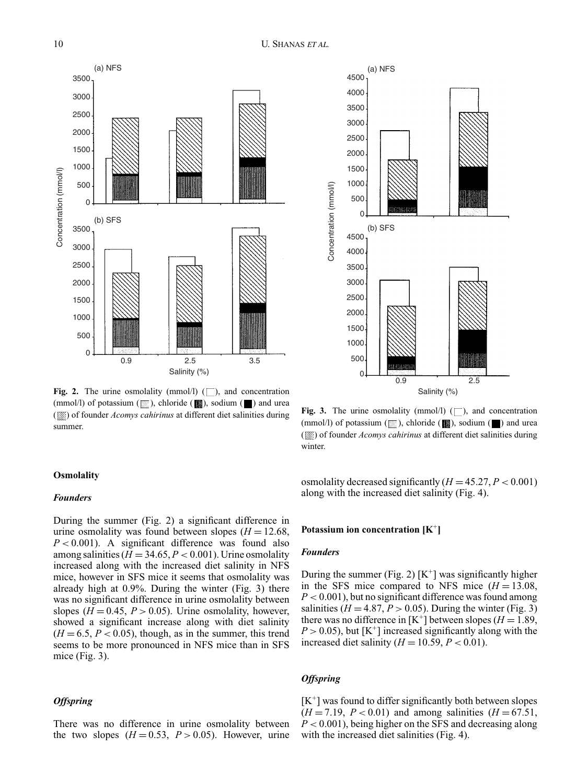

**Fig. 2.** The urine osmolality (mmol/l)  $(\Box)$ , and concentration (mmol/l) of potassium  $(\Box)$ , chloride ( $\Box$ ), sodium ( $\Box$ ) and urea ( $\mathbb{R}$ ) of founder *Acomys cahirinus* at different diet salinities during summer.

#### **Osmolality**

#### *Founders*

During the summer (Fig. 2) a significant difference in urine osmolality was found between slopes  $(H = 12.68,$  $P < 0.001$ ). A significant difference was found also among salinities  $(H = 34.65, P < 0.001)$ . Urine osmolality increased along with the increased diet salinity in NFS mice, however in SFS mice it seems that osmolality was already high at 0.9%. During the winter (Fig. 3) there was no significant difference in urine osmolality between slopes  $(H = 0.45, P > 0.05)$ . Urine osmolality, however, showed a significant increase along with diet salinity  $(H = 6.5, P < 0.05)$ , though, as in the summer, this trend seems to be more pronounced in NFS mice than in SFS mice (Fig. 3).

### *Offspring*

There was no difference in urine osmolality between the two slopes  $(H = 0.53, P > 0.05)$ . However, urine



Fig. 3. The urine osmolality (mmol/l)  $(\Box)$ , and concentration (mmol/l) of potassium  $(\Box)$ , chloride ( $\Box$ ), sodium ( $\Box$ ) and urea ( $\mathcal{R}$ ) of founder *Acomys cahirinus* at different diet salinities during winter.

osmolality decreased significantly  $(H = 45.27, P < 0.001)$ along with the increased diet salinity (Fig. 4).

#### **Potassium ion concentration [K**<sup>+</sup>**]**

#### *Founders*

During the summer (Fig. 2)  $[K^+]$  was significantly higher in the SFS mice compared to NFS mice  $(H = 13.08$ ,  $P < 0.001$ ), but no significant difference was found among salinities  $(H = 4.87, P > 0.05)$ . During the winter (Fig. 3) there was no difference in  $[K^+]$  between slopes ( $H = 1.89$ ,  $P > 0.05$ , but [K<sup>+</sup>] increased significantly along with the increased diet salinity  $(H = 10.59, P < 0.01)$ .

### *Offspring*

 $[K^+]$  was found to differ significantly both between slopes  $(H = 7.19, P < 0.01)$  and among salinities  $(H = 67.51,$ *P* < 0.001), being higher on the SFS and decreasing along with the increased diet salinities (Fig. 4).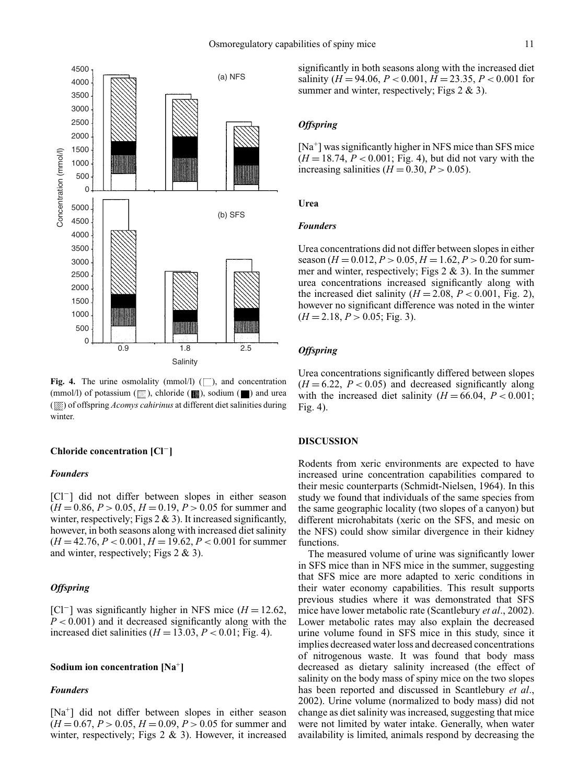

**Fig. 4.** The urine osmolality (mmol/l)  $(\Box)$ , and concentration (mmol/l) of potassium  $(\Box)$ , chloride ( $\Box$ ), sodium ( $\Box$ ) and urea ( ) of offspring *Acomys cahirinus* at different diet salinities during winter.

#### **Chloride concentration [Cl**−**]**

## *Founders*

[Cl−] did not differ between slopes in either season  $(H = 0.86, P > 0.05, H = 0.19, P > 0.05$  for summer and winter, respectively; Figs  $2 \& 3$ ). It increased significantly, however, in both seasons along with increased diet salinity  $(H = 42.76, P < 0.001, H = 19.62, P < 0.001$  for summer and winter, respectively; Figs 2 & 3).

# *Offspring*

[Cl−] was significantly higher in NFS mice (*H* = 12.62,  $P < 0.001$ ) and it decreased significantly along with the increased diet salinities  $(H = 13.03, P < 0.01;$  Fig. 4).

#### **Sodium ion concentration [Na**<sup>+</sup>**]**

# *Founders*

[Na<sup>+</sup>] did not differ between slopes in either season  $(H = 0.67, P > 0.05, H = 0.09, P > 0.05$  for summer and winter, respectively; Figs 2 & 3). However, it increased significantly in both seasons along with the increased diet salinity ( $H = 94.06$ ,  $P < 0.001$ ,  $H = 23.35$ ,  $P < 0.001$  for summer and winter, respectively; Figs 2 & 3).

## *Offspring*

[Na+] was significantly higher in NFS mice than SFS mice  $(H = 18.74, P < 0.001$ ; Fig. 4), but did not vary with the increasing salinities  $(H = 0.30, P > 0.05)$ .

#### **Urea**

## *Founders*

Urea concentrations did not differ between slopes in either season ( $H = 0.012$ ,  $P > 0.05$ ,  $H = 1.62$ ,  $P > 0.20$  for summer and winter, respectively; Figs 2 & 3). In the summer urea concentrations increased significantly along with the increased diet salinity  $(H = 2.08, P < 0.001,$  Fig. 2), however no significant difference was noted in the winter  $(H = 2.18, P > 0.05; Fig. 3).$ 

# *Offspring*

Urea concentrations significantly differed between slopes  $(H = 6.22, P < 0.05)$  and decreased significantly along with the increased diet salinity  $(H = 66.04, P < 0.001)$ ; Fig. 4).

#### **DISCUSSION**

Rodents from xeric environments are expected to have increased urine concentration capabilities compared to their mesic counterparts (Schmidt-Nielsen, 1964). In this study we found that individuals of the same species from the same geographic locality (two slopes of a canyon) but different microhabitats (xeric on the SFS, and mesic on the NFS) could show similar divergence in their kidney functions.

The measured volume of urine was significantly lower in SFS mice than in NFS mice in the summer, suggesting that SFS mice are more adapted to xeric conditions in their water economy capabilities. This result supports previous studies where it was demonstrated that SFS mice have lower metabolic rate (Scantlebury *et al*., 2002). Lower metabolic rates may also explain the decreased urine volume found in SFS mice in this study, since it implies decreased water loss and decreased concentrations of nitrogenous waste. It was found that body mass decreased as dietary salinity increased (the effect of salinity on the body mass of spiny mice on the two slopes has been reported and discussed in Scantlebury *et al*., 2002). Urine volume (normalized to body mass) did not change as diet salinity was increased, suggesting that mice were not limited by water intake. Generally, when water availability is limited, animals respond by decreasing the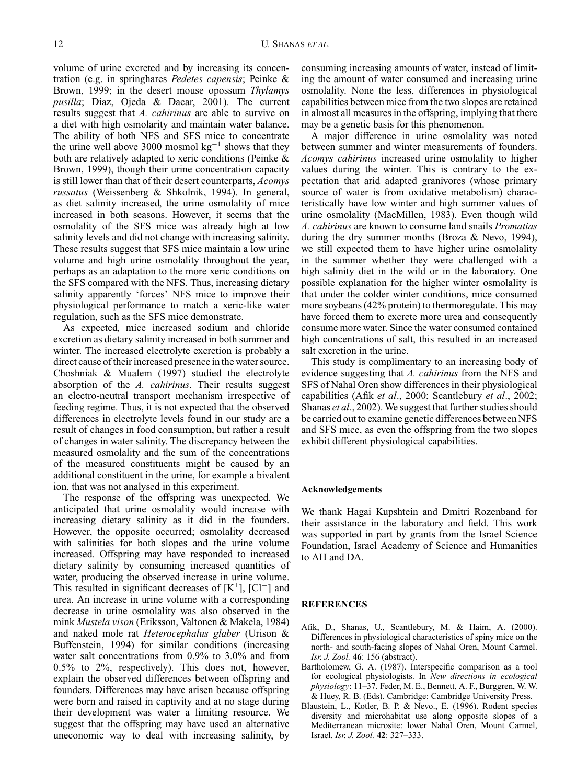volume of urine excreted and by increasing its concentration (e.g. in springhares *Pedetes capensis*; Peinke & Brown, 1999; in the desert mouse opossum *Thylamys pusilla*; Diaz, Ojeda & Dacar, 2001). The current results suggest that *A. cahirinus* are able to survive on a diet with high osmolarity and maintain water balance. The ability of both NFS and SFS mice to concentrate the urine well above 3000 mosmol kg<sup>-1</sup> shows that they both are relatively adapted to xeric conditions (Peinke & Brown, 1999), though their urine concentration capacity is still lower than that of their desert counterparts, *Acomys russatus* (Weissenberg & Shkolnik, 1994). In general, as diet salinity increased, the urine osmolality of mice increased in both seasons. However, it seems that the osmolality of the SFS mice was already high at low salinity levels and did not change with increasing salinity. These results suggest that SFS mice maintain a low urine volume and high urine osmolality throughout the year, perhaps as an adaptation to the more xeric conditions on the SFS compared with the NFS. Thus, increasing dietary salinity apparently 'forces' NFS mice to improve their physiological performance to match a xeric-like water regulation, such as the SFS mice demonstrate.

As expected, mice increased sodium and chloride excretion as dietary salinity increased in both summer and winter. The increased electrolyte excretion is probably a direct cause of their increased presence in the water source. Choshniak & Mualem (1997) studied the electrolyte absorption of the *A. cahirinus*. Their results suggest an electro-neutral transport mechanism irrespective of feeding regime. Thus, it is not expected that the observed differences in electrolyte levels found in our study are a result of changes in food consumption, but rather a result of changes in water salinity. The discrepancy between the measured osmolality and the sum of the concentrations of the measured constituents might be caused by an additional constituent in the urine, for example a bivalent ion, that was not analysed in this experiment.

The response of the offspring was unexpected. We anticipated that urine osmolality would increase with increasing dietary salinity as it did in the founders. However, the opposite occurred; osmolality decreased with salinities for both slopes and the urine volume increased. Offspring may have responded to increased dietary salinity by consuming increased quantities of water, producing the observed increase in urine volume. This resulted in significant decreases of  $[K^+]$ ,  $[Cl^-]$  and urea. An increase in urine volume with a corresponding decrease in urine osmolality was also observed in the mink *Mustela vison* (Eriksson, Valtonen & Makela, 1984) and naked mole rat *Heterocephalus glaber* (Urison & Buffenstein, 1994) for similar conditions (increasing water salt concentrations from 0.9% to 3.0% and from 0.5% to 2%, respectively). This does not, however, explain the observed differences between offspring and founders. Differences may have arisen because offspring were born and raised in captivity and at no stage during their development was water a limiting resource. We suggest that the offspring may have used an alternative uneconomic way to deal with increasing salinity, by

consuming increasing amounts of water, instead of limiting the amount of water consumed and increasing urine osmolality. None the less, differences in physiological capabilities between mice from the two slopes are retained in almost all measures in the offspring, implying that there may be a genetic basis for this phenomenon.

A major difference in urine osmolality was noted between summer and winter measurements of founders. *Acomys cahirinus* increased urine osmolality to higher values during the winter. This is contrary to the expectation that arid adapted granivores (whose primary source of water is from oxidative metabolism) characteristically have low winter and high summer values of urine osmolality (MacMillen, 1983). Even though wild *A. cahirinus* are known to consume land snails *Promatias* during the dry summer months (Broza & Nevo, 1994), we still expected them to have higher urine osmolality in the summer whether they were challenged with a high salinity diet in the wild or in the laboratory. One possible explanation for the higher winter osmolality is that under the colder winter conditions, mice consumed more soybeans (42% protein) to thermoregulate. This may have forced them to excrete more urea and consequently consume more water. Since the water consumed contained high concentrations of salt, this resulted in an increased salt excretion in the urine.

This study is complimentary to an increasing body of evidence suggesting that *A. cahirinus* from the NFS and SFS of Nahal Oren show differences in their physiological capabilities (Afik *et al*., 2000; Scantlebury *et al*., 2002; Shanas *et al*., 2002). We suggest that further studies should be carried out to examine genetic differences between NFS and SFS mice, as even the offspring from the two slopes exhibit different physiological capabilities.

#### **Acknowledgements**

We thank Hagai Kupshtein and Dmitri Rozenband for their assistance in the laboratory and field. This work was supported in part by grants from the Israel Science Foundation, Israel Academy of Science and Humanities to AH and DA.

#### **REFERENCES**

- Afik, D., Shanas, U., Scantlebury, M. & Haim, A. (2000). Differences in physiological characteristics of spiny mice on the north- and south-facing slopes of Nahal Oren, Mount Carmel. *Isr. J. Zool.* **46**: 156 (abstract).
- Bartholomew, G. A. (1987). Interspecific comparison as a tool for ecological physiologists. In *New directions in ecological physiology*: 11–37. Feder, M. E., Bennett, A. F., Burggren, W. W. & Huey, R. B. (Eds). Cambridge: Cambridge University Press.
- Blaustein, L., Kotler, B. P. & Nevo., E. (1996). Rodent species diversity and microhabitat use along opposite slopes of a Mediterranean microsite: lower Nahal Oren, Mount Carmel, Israel. *Isr. J. Zool.* **42**: 327–333.